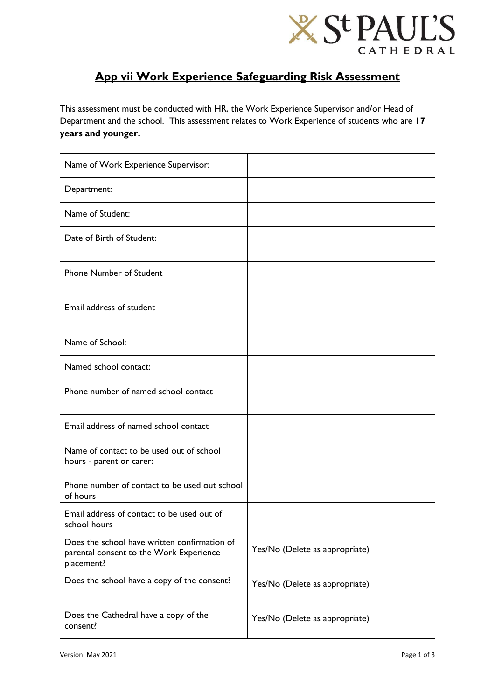

## **App vii Work Experience Safeguarding Risk Assessment**

This assessment must be conducted with HR, the Work Experience Supervisor and/or Head of Department and the school. This assessment relates to Work Experience of students who are **17 years and younger.**

| Name of Work Experience Supervisor:                                                                   |                                |
|-------------------------------------------------------------------------------------------------------|--------------------------------|
| Department:                                                                                           |                                |
| Name of Student:                                                                                      |                                |
| Date of Birth of Student:                                                                             |                                |
| <b>Phone Number of Student</b>                                                                        |                                |
| Email address of student                                                                              |                                |
| Name of School:                                                                                       |                                |
| Named school contact:                                                                                 |                                |
| Phone number of named school contact                                                                  |                                |
| Email address of named school contact                                                                 |                                |
| Name of contact to be used out of school<br>hours - parent or carer:                                  |                                |
| Phone number of contact to be used out school<br>of hours                                             |                                |
| Email address of contact to be used out of<br>school hours                                            |                                |
| Does the school have written confirmation of<br>parental consent to the Work Experience<br>placement? | Yes/No (Delete as appropriate) |
| Does the school have a copy of the consent?                                                           | Yes/No (Delete as appropriate) |
| Does the Cathedral have a copy of the<br>consent?                                                     | Yes/No (Delete as appropriate) |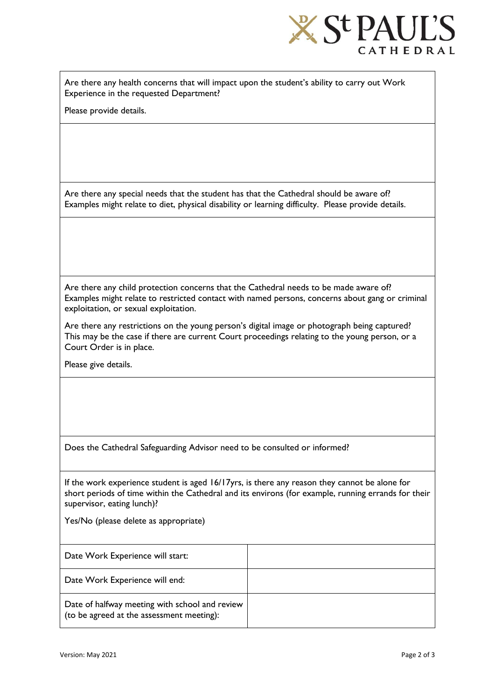

Are there any health concerns that will impact upon the student's ability to carry out Work Experience in the requested Department?

Please provide details.

Are there any special needs that the student has that the Cathedral should be aware of? Examples might relate to diet, physical disability or learning difficulty. Please provide details.

Are there any child protection concerns that the Cathedral needs to be made aware of? Examples might relate to restricted contact with named persons, concerns about gang or criminal exploitation, or sexual exploitation.

Are there any restrictions on the young person's digital image or photograph being captured? This may be the case if there are current Court proceedings relating to the young person, or a Court Order is in place.

Please give details.

Does the Cathedral Safeguarding Advisor need to be consulted or informed?

If the work experience student is aged 16/17yrs, is there any reason they cannot be alone for short periods of time within the Cathedral and its environs (for example, running errands for their supervisor, eating lunch)?

Yes/No (please delete as appropriate)

| Date Work Experience will start:                                                            |  |
|---------------------------------------------------------------------------------------------|--|
| Date Work Experience will end:                                                              |  |
| Date of halfway meeting with school and review<br>(to be agreed at the assessment meeting): |  |